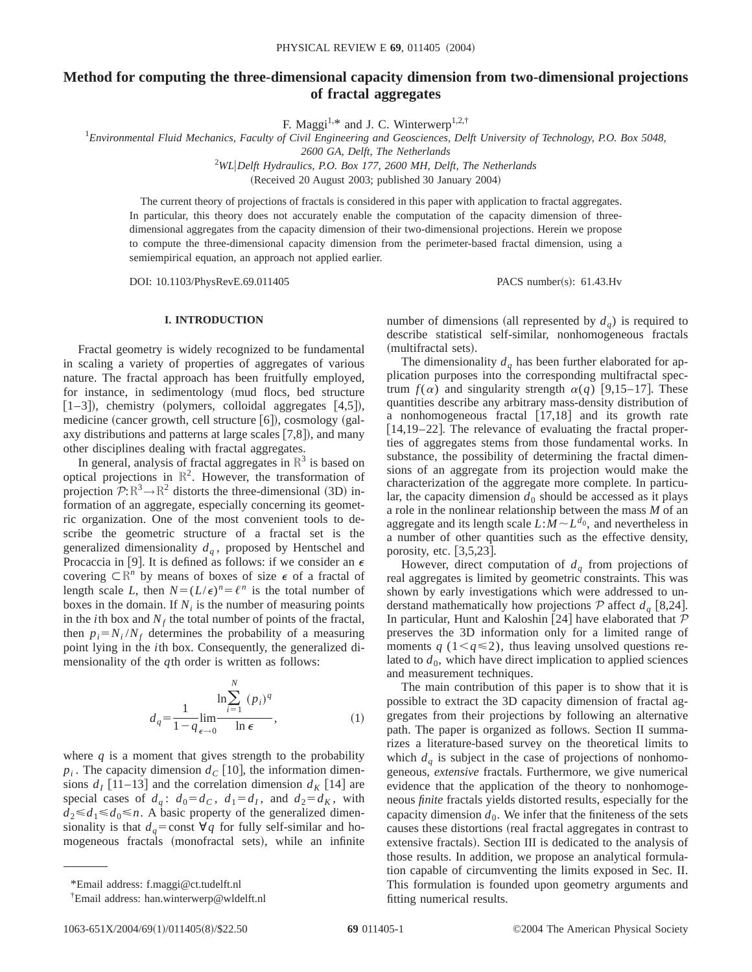# **Method for computing the three-dimensional capacity dimension from two-dimensional projections of fractal aggregates**

F. Maggi<sup>1,\*</sup> and J. C. Winterwerp<sup>1,2,†</sup>

1 *Environmental Fluid Mechanics, Faculty of Civil Engineering and Geosciences, Delft University of Technology, P.O. Box 5048,*

*2600 GA, Delft, The Netherlands*

<sup>2</sup>WL|Delft Hydraulics, P.O. Box 177, 2600 MH, Delft, The Netherlands

(Received 20 August 2003; published 30 January 2004)

The current theory of projections of fractals is considered in this paper with application to fractal aggregates. In particular, this theory does not accurately enable the computation of the capacity dimension of threedimensional aggregates from the capacity dimension of their two-dimensional projections. Herein we propose to compute the three-dimensional capacity dimension from the perimeter-based fractal dimension, using a semiempirical equation, an approach not applied earlier.

DOI: 10.1103/PhysRevE.69.011405 PACS number(s): 61.43.Hv

## **I. INTRODUCTION**

Fractal geometry is widely recognized to be fundamental in scaling a variety of properties of aggregates of various nature. The fractal approach has been fruitfully employed, for instance, in sedimentology (mud flocs, bed structure  $[1–3]$ , chemistry (polymers, colloidal aggregates  $[4,5]$ ), medicine (cancer growth, cell structure  $[6]$ ), cosmology (galaxy distributions and patterns at large scales  $[7,8]$ ), and many other disciplines dealing with fractal aggregates.

In general, analysis of fractal aggregates in  $\mathbb{R}^3$  is based on optical projections in  $\mathbb{R}^2$ . However, the transformation of projection  $\mathcal{P}:\mathbb{R}^3\to\mathbb{R}^2$  distorts the three-dimensional (3D) information of an aggregate, especially concerning its geometric organization. One of the most convenient tools to describe the geometric structure of a fractal set is the generalized dimensionality  $d<sub>a</sub>$ , proposed by Hentschel and Procaccia in [9]. It is defined as follows: if we consider an  $\epsilon$ covering  $\subset \mathbb{R}^n$  by means of boxes of size  $\epsilon$  of a fractal of length scale *L*, then  $N = (L/\epsilon)^n = \ell^n$  is the total number of boxes in the domain. If  $N_i$  is the number of measuring points in the *i*th box and  $N_f$  the total number of points of the fractal, then  $p_i = N_i / N_f$  determines the probability of a measuring point lying in the *i*th box. Consequently, the generalized dimensionality of the *q*th order is written as follows:

$$
d_q = \frac{1}{1 - q} \lim_{\epsilon \to 0} \frac{\ln \sum_{i=1}^{N} (p_i)^q}{\ln \epsilon},
$$
\n(1)

where  $q$  is a moment that gives strength to the probability  $p_i$ . The capacity dimension  $d_c$  [10], the information dimensions  $d_I$  [11–13] and the correlation dimension  $d_K$  [14] are special cases of  $d_q$ :  $d_0 = d_c$ ,  $d_1 = d_l$ , and  $d_2 = d_K$ , with  $d_2 \le d_1 \le d_0 \le n$ . A basic property of the generalized dimensionality is that  $d_q$ =const  $\forall q$  for fully self-similar and homogeneous fractals (monofractal sets), while an infinite number of dimensions (all represented by  $d_q$ ) is required to describe statistical self-similar, nonhomogeneous fractals (multifractal sets).

The dimensionality  $d<sub>q</sub>$  has been further elaborated for application purposes into the corresponding multifractal spectrum  $f(\alpha)$  and singularity strength  $\alpha(q)$  [9,15–17]. These quantities describe any arbitrary mass-density distribution of a nonhomogeneous fractal  $[17,18]$  and its growth rate  $[14,19-22]$ . The relevance of evaluating the fractal properties of aggregates stems from those fundamental works. In substance, the possibility of determining the fractal dimensions of an aggregate from its projection would make the characterization of the aggregate more complete. In particular, the capacity dimension  $d_0$  should be accessed as it plays a role in the nonlinear relationship between the mass *M* of an aggregate and its length scale  $L:\dot{M} \sim L^{d_0}$ , and nevertheless in a number of other quantities such as the effective density, porosity, etc.  $[3,5,23]$ .

However, direct computation of  $d_q$  from projections of real aggregates is limited by geometric constraints. This was shown by early investigations which were addressed to understand mathematically how projections  $P$  affect  $d_q$  [8,24]. In particular, Hunt and Kaloshin [24] have elaborated that  $P$ preserves the 3D information only for a limited range of moments  $q$  (1< $q \leq 2$ ), thus leaving unsolved questions related to  $d_0$ , which have direct implication to applied sciences and measurement techniques.

The main contribution of this paper is to show that it is possible to extract the 3D capacity dimension of fractal aggregates from their projections by following an alternative path. The paper is organized as follows. Section II summarizes a literature-based survey on the theoretical limits to which  $d_q$  is subject in the case of projections of nonhomogeneous, *extensive* fractals. Furthermore, we give numerical evidence that the application of the theory to nonhomogeneous *finite* fractals yields distorted results, especially for the capacity dimension  $d_0$ . We infer that the finiteness of the sets causes these distortions (real fractal aggregates in contrast to extensive fractals). Section III is dedicated to the analysis of those results. In addition, we propose an analytical formulation capable of circumventing the limits exposed in Sec. II. This formulation is founded upon geometry arguments and fitting numerical results.

<sup>\*</sup>Email address: f.maggi@ct.tudelft.nl

<sup>†</sup> Email address: han.winterwerp@wldelft.nl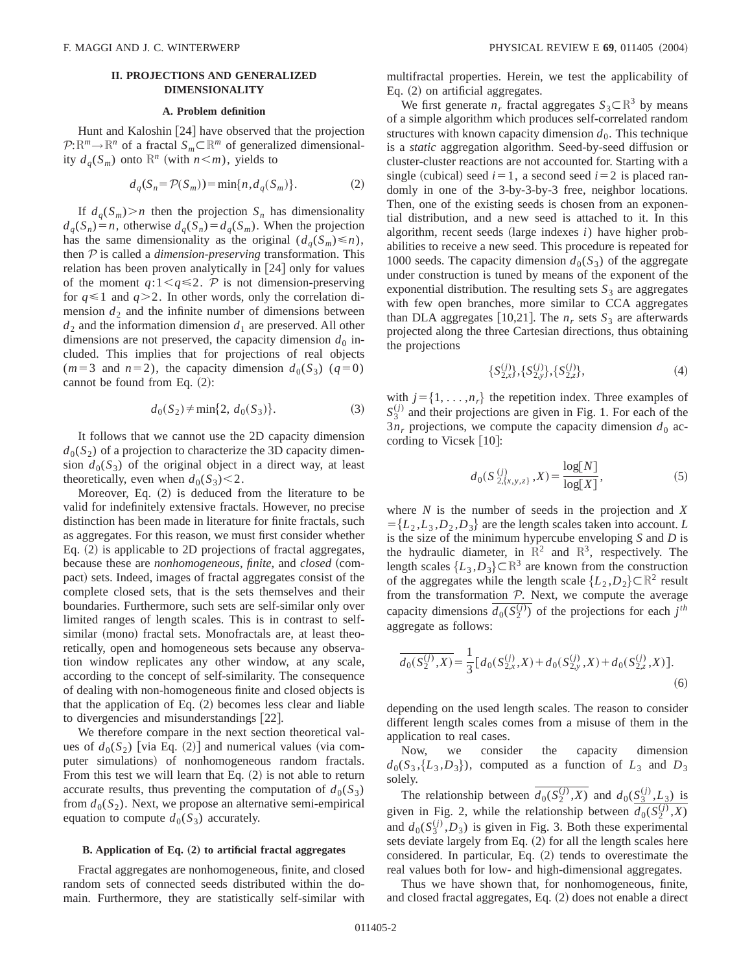# **II. PROJECTIONS AND GENERALIZED DIMENSIONALITY**

# **A. Problem definition**

Hunt and Kaloshin  $[24]$  have observed that the projection  $P: \mathbb{R}^m \to \mathbb{R}^n$  of a fractal  $S_m \subset \mathbb{R}^m$  of generalized dimensionality  $d_q(S_m)$  onto  $\mathbb{R}^n$  (with  $n \leq m$ ), yields to

$$
d_q(S_n = \mathcal{P}(S_m)) = \min\{n, d_q(S_m)\}.
$$
 (2)

If  $d_q(S_m) > n$  then the projection  $S_n$  has dimensionality  $d_q(S_n) = n$ , otherwise  $d_q(S_n) = d_q(S_m)$ . When the projection has the same dimensionality as the original  $(d_q(S_m) \le n)$ , then P is called a *dimension-preserving* transformation. This relation has been proven analytically in  $[24]$  only for values of the moment  $q:1 \leq q \leq 2$ . P is not dimension-preserving for  $q \le 1$  and  $q > 2$ . In other words, only the correlation dimension  $d_2$  and the infinite number of dimensions between  $d_2$  and the information dimension  $d_1$  are preserved. All other dimensions are not preserved, the capacity dimension  $d_0$  included. This implies that for projections of real objects  $(m=3 \text{ and } n=2)$ , the capacity dimension  $d_0(S_3)$  ( $q=0$ ) cannot be found from Eq.  $(2)$ :

$$
d_0(S_2) \neq \min\{2, d_0(S_3)\}.
$$
 (3)

It follows that we cannot use the 2D capacity dimension  $d_0(S_2)$  of a projection to characterize the 3D capacity dimension  $d_0(S_3)$  of the original object in a direct way, at least theoretically, even when  $d_0(S_3)$  < 2.

Moreover, Eq.  $(2)$  is deduced from the literature to be valid for indefinitely extensive fractals. However, no precise distinction has been made in literature for finite fractals, such as aggregates. For this reason, we must first consider whether Eq.  $(2)$  is applicable to 2D projections of fractal aggregates, because these are *nonhomogeneous*, *finite*, and *closed* (compact) sets. Indeed, images of fractal aggregates consist of the complete closed sets, that is the sets themselves and their boundaries. Furthermore, such sets are self-similar only over limited ranges of length scales. This is in contrast to selfsimilar (mono) fractal sets. Monofractals are, at least theoretically, open and homogeneous sets because any observation window replicates any other window, at any scale, according to the concept of self-similarity. The consequence of dealing with non-homogeneous finite and closed objects is that the application of Eq.  $(2)$  becomes less clear and liable to divergencies and misunderstandings  $[22]$ .

We therefore compare in the next section theoretical values of  $d_0(S_2)$  [via Eq. (2)] and numerical values (via computer simulations) of nonhomogeneous random fractals. From this test we will learn that Eq.  $(2)$  is not able to return accurate results, thus preventing the computation of  $d_0(S_3)$ from  $d_0(S_2)$ . Next, we propose an alternative semi-empirical equation to compute  $d_0(S_3)$  accurately.

# **B.** Application of Eq. (2) to artificial fractal aggregates

Fractal aggregates are nonhomogeneous, finite, and closed random sets of connected seeds distributed within the domain. Furthermore, they are statistically self-similar with multifractal properties. Herein, we test the applicability of Eq.  $(2)$  on artificial aggregates.

We first generate  $n_r$  fractal aggregates  $S_3 \subset \mathbb{R}^3$  by means of a simple algorithm which produces self-correlated random structures with known capacity dimension  $d_0$ . This technique is a *static* aggregation algorithm. Seed-by-seed diffusion or cluster-cluster reactions are not accounted for. Starting with a single (cubical) seed  $i=1$ , a second seed  $i=2$  is placed randomly in one of the 3-by-3-by-3 free, neighbor locations. Then, one of the existing seeds is chosen from an exponential distribution, and a new seed is attached to it. In this algorithm, recent seeds  $(large$  indexes *i*) have higher probabilities to receive a new seed. This procedure is repeated for 1000 seeds. The capacity dimension  $d_0(S_3)$  of the aggregate under construction is tuned by means of the exponent of the exponential distribution. The resulting sets  $S_3$  are aggregates with few open branches, more similar to CCA aggregates than DLA aggregates [10,21]. The  $n_r$  sets  $S_3$  are afterwards projected along the three Cartesian directions, thus obtaining the projections

$$
\{S_{2,x}^{(j)}\},\{S_{2,y}^{(j)}\},\{S_{2,z}^{(j)}\},\tag{4}
$$

with  $j = \{1, \ldots, n_r\}$  the repetition index. Three examples of  $S_3^{(j)}$  and their projections are given in Fig. 1. For each of the  $3n<sub>r</sub>$  projections, we compute the capacity dimension  $d<sub>0</sub>$  according to Vicsek  $[10]$ :

$$
d_0(S_{2,\{x,y,z\}}^{(j)}, X) = \frac{\log[N]}{\log[X]},
$$
 (5)

where *N* is the number of seeds in the projection and *X*  $= \{L_2, L_3, D_2, D_3\}$  are the length scales taken into account. *L* is the size of the minimum hypercube enveloping *S* and *D* is the hydraulic diameter, in  $\mathbb{R}^2$  and  $\mathbb{R}^3$ , respectively. The length scales  $\{L_3, D_3\} \subset \mathbb{R}^3$  are known from the construction of the aggregates while the length scale  $\{L_2, D_2\} \subset \mathbb{R}^2$  result from the transformation  $P$ . Next, we compute the average capacity dimensions  $\overline{d_0(S_2^{(j)})}$  of the projections for each  $j^{th}$ aggregate as follows:

$$
\overline{d_0(S_2^{(j)}, X)} = \frac{1}{3} \big[ d_0(S_{2,x}^{(j)}, X) + d_0(S_{2,y}^{(j)}, X) + d_0(S_{2,z}^{(j)}, X) \big].
$$
\n(6)

depending on the used length scales. The reason to consider different length scales comes from a misuse of them in the application to real cases.

Now, we consider the capacity dimension  $d_0(S_3, {L_3, D_3})$ , computed as a function of  $L_3$  and  $D_3$ solely.

The relationship between  $\overline{d_0(S_2^{(j)},X)}$  and  $d_0(S_3^{(j)},L_3)$  is given in Fig. 2, while the relationship between  $\overline{d_0(S_2^{(j)},X)}$ and  $d_0(S_3^{(j)}, D_3)$  is given in Fig. 3. Both these experimental sets deviate largely from Eq.  $(2)$  for all the length scales here considered. In particular, Eq.  $(2)$  tends to overestimate the real values both for low- and high-dimensional aggregates.

Thus we have shown that, for nonhomogeneous, finite, and closed fractal aggregates, Eq.  $(2)$  does not enable a direct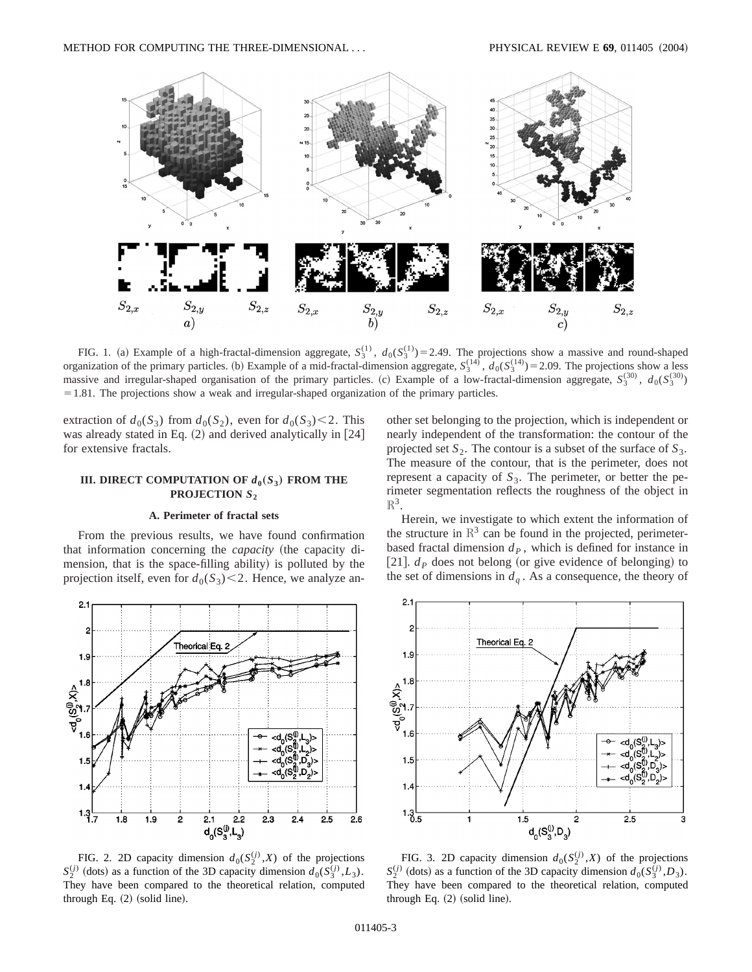

FIG. 1. (a) Example of a high-fractal-dimension aggregate,  $S_3^{(1)}$ ,  $d_0(S_3^{(1)}) = 2.49$ . The projections show a massive and round-shaped organization of the primary particles. (b) Example of a mid-fractal-dimension aggregate,  $S_3^{(14)}$ ,  $d_0(S_3^{(14)}) = 2.09$ . The projections show a less massive and irregular-shaped organisation of the primary particles. (c) Example of a low-fractal-dimension aggregate,  $S_3^{(30)}$ ,  $d_0(S_3^{(30)})$  $=1.81$ . The projections show a weak and irregular-shaped organization of the primary particles.

extraction of  $d_0(S_3)$  from  $d_0(S_2)$ , even for  $d_0(S_3)$  < 2. This was already stated in Eq.  $(2)$  and derived analytically in  $[24]$ for extensive fractals.

# **III. DIRECT COMPUTATION OF**  $d_0(S_3)$  **FROM THE PROJECTION** *S***<sup>2</sup>**

### **A. Perimeter of fractal sets**

From the previous results, we have found confirmation that information concerning the *capacity* (the capacity dimension, that is the space-filling ability) is polluted by the projection itself, even for  $d_0(S_3)$  < 2. Hence, we analyze an-



FIG. 2. 2D capacity dimension  $d_0(S_2^{(j)}, X)$  of the projections  $S_2^{(j)}$  (dots) as a function of the 3D capacity dimension  $d_0(S_3^{(j)}, L_3)$ . They have been compared to the theoretical relation, computed through Eq.  $(2)$  (solid line).

other set belonging to the projection, which is independent or nearly independent of the transformation: the contour of the projected set  $S_2$ . The contour is a subset of the surface of  $S_3$ . The measure of the contour, that is the perimeter, does not represent a capacity of  $S_3$ . The perimeter, or better the perimeter segmentation reflects the roughness of the object in  $\mathbb{R}^3$ .

Herein, we investigate to which extent the information of the structure in  $\mathbb{R}^3$  can be found in the projected, perimeterbased fractal dimension  $d<sub>p</sub>$ , which is defined for instance in [21].  $d<sub>P</sub>$  does not belong (or give evidence of belonging) to the set of dimensions in  $d_q$ . As a consequence, the theory of



FIG. 3. 2D capacity dimension  $d_0(S_2^{(j)}, X)$  of the projections  $S_2^{(j)}$  (dots) as a function of the 3D capacity dimension  $d_0(S_3^{(j)}, D_3)$ . They have been compared to the theoretical relation, computed through Eq.  $(2)$  (solid line).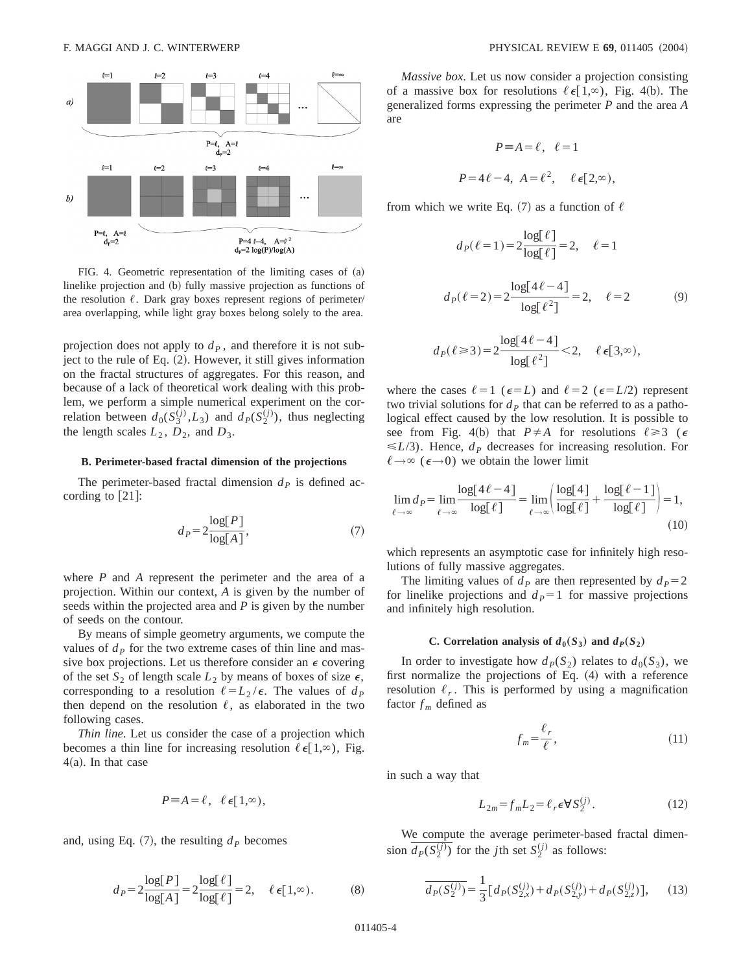

FIG. 4. Geometric representation of the limiting cases of  $(a)$ linelike projection and (b) fully massive projection as functions of the resolution  $\ell$ . Dark gray boxes represent regions of perimeter/ area overlapping, while light gray boxes belong solely to the area.

projection does not apply to  $d<sub>P</sub>$ , and therefore it is not subject to the rule of Eq.  $(2)$ . However, it still gives information on the fractal structures of aggregates. For this reason, and because of a lack of theoretical work dealing with this problem, we perform a simple numerical experiment on the correlation between  $d_0(S_3^{(j)}, L_3)$  and  $d_P(S_2^{(j)})$ , thus neglecting the length scales  $L_2$ ,  $D_2$ , and  $D_3$ .

#### **B. Perimeter-based fractal dimension of the projections**

The perimeter-based fractal dimension  $d<sub>P</sub>$  is defined according to  $[21]$ :

$$
d_P = 2 \frac{\log[P]}{\log[A]},\tag{7}
$$

where *P* and *A* represent the perimeter and the area of a projection. Within our context, *A* is given by the number of seeds within the projected area and *P* is given by the number of seeds on the contour.

By means of simple geometry arguments, we compute the values of  $d<sub>P</sub>$  for the two extreme cases of thin line and massive box projections. Let us therefore consider an  $\epsilon$  covering of the set  $S_2$  of length scale  $L_2$  by means of boxes of size  $\epsilon$ , corresponding to a resolution  $\ell = L_2 / \epsilon$ . The values of  $d_p$ then depend on the resolution  $\ell$ , as elaborated in the two following cases.

*Thin line*. Let us consider the case of a projection which becomes a thin line for increasing resolution  $\ell \in [1,\infty)$ , Fig.  $4(a)$ . In that case

$$
P\equiv A=\ell,\ \ell\in[1,\infty),
$$

and, using Eq.  $(7)$ , the resulting  $d<sub>P</sub>$  becomes

$$
d_P = 2\frac{\log[P]}{\log[A]} = 2\frac{\log[\ell]}{\log[\ell]} = 2, \quad \ell \in [1, \infty). \tag{8}
$$

*Massive box*. Let us now consider a projection consisting of a massive box for resolutions  $\ell \in [1,\infty)$ , Fig. 4(b). The generalized forms expressing the perimeter *P* and the area *A* are

$$
P \equiv A = \ell, \quad \ell = 1
$$
  

$$
P = 4\ell - 4, \quad A = \ell^2, \quad \ell \in [2, \infty),
$$

from which we write Eq. (7) as a function of  $\ell$ 

$$
d_P(\ell=1) = 2 \frac{\log[\ell]}{\log[\ell]} = 2, \quad \ell = 1
$$
  

$$
d_P(\ell=2) = 2 \frac{\log[4\ell - 4]}{\log[\ell^2]} = 2, \quad \ell = 2
$$
 (9)

$$
d_P(\ell \ge 3) = 2 \frac{\log[4\ell - 4]}{\log[\ell^2]} < 2, \quad \ell \in [3, \infty),
$$

where the cases  $\ell=1$  ( $\epsilon=L$ ) and  $\ell=2$  ( $\epsilon=L/2$ ) represent two trivial solutions for  $d<sub>P</sub>$  that can be referred to as a pathological effect caused by the low resolution. It is possible to see from Fig. 4(b) that  $P \neq A$  for resolutions  $\ell \geq 3$  ( $\epsilon$  $\leq L/3$ ). Hence,  $d<sub>P</sub>$  decreases for increasing resolution. For  $\ell \rightarrow \infty$  ( $\epsilon \rightarrow 0$ ) we obtain the lower limit

$$
\lim_{\ell \to \infty} d_P = \lim_{\ell \to \infty} \frac{\log[4\ell - 4]}{\log[\ell]} = \lim_{\ell \to \infty} \left( \frac{\log[4]}{\log[\ell]} + \frac{\log[\ell - 1]}{\log[\ell]} \right) = 1,
$$
\n(10)

which represents an asymptotic case for infinitely high resolutions of fully massive aggregates.

The limiting values of  $d_p$  are then represented by  $d_p = 2$ for linelike projections and  $d<sub>P</sub>=1$  for massive projections and infinitely high resolution.

## **C.** Correlation analysis of  $d_0(S_3)$  and  $d_P(S_2)$

In order to investigate how  $d<sub>P</sub>(S<sub>2</sub>)$  relates to  $d<sub>0</sub>(S<sub>3</sub>)$ , we first normalize the projections of Eq.  $(4)$  with a reference resolution  $\ell_r$ . This is performed by using a magnification factor  $f_m$  defined as

$$
f_m = \frac{\ell_r}{\ell},\tag{11}
$$

in such a way that

$$
L_{2m} = f_m L_2 = \ell_r \epsilon \nabla S_2^{(j)}.
$$
 (12)

We compute the average perimeter-based fractal dimension  $\overline{d_P(S_2^{(j)})}$  for the *j*th set  $S_2^{(j)}$  as follows:

$$
\overline{d_P(S_2^{(j)})} = \frac{1}{3} \big[ d_P(S_{2,x}^{(j)}) + d_P(S_{2,y}^{(j)}) + d_P(S_{2,z}^{(j)}) \big],\qquad(13)
$$

011405-4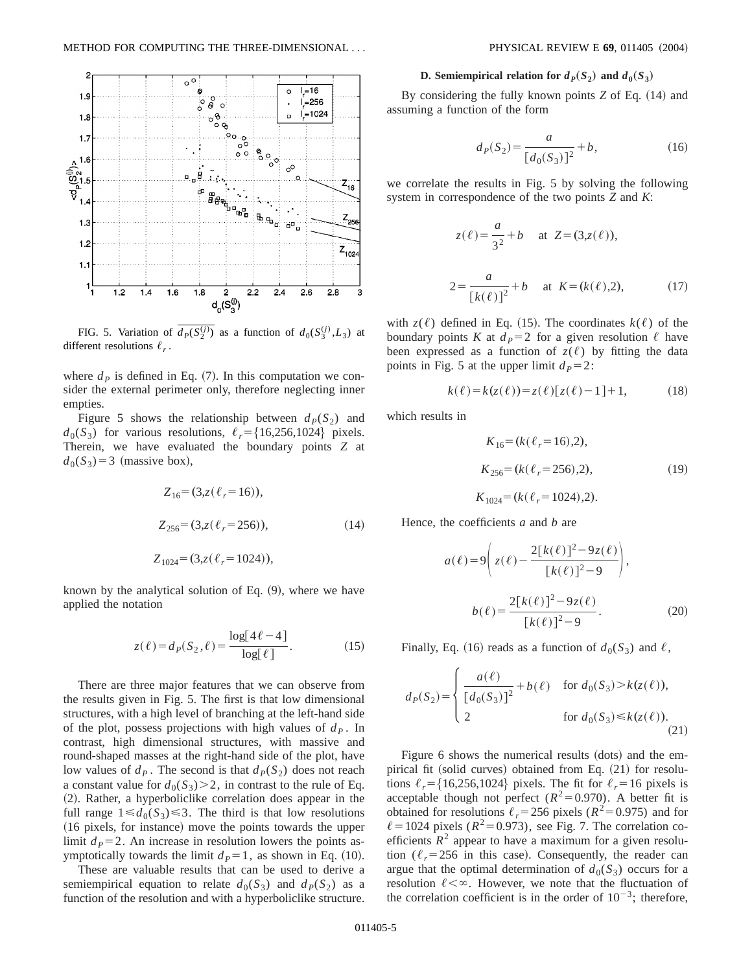

FIG. 5. Variation of  $\overline{d_P(S_2^{(j)})}$  as a function of  $d_0(S_3^{(j)}, L_3)$  at different resolutions  $\ell_r$ .

where  $d<sub>P</sub>$  is defined in Eq. (7). In this computation we consider the external perimeter only, therefore neglecting inner empties.

Figure 5 shows the relationship between  $d_P(S_2)$  and  $d_0(S_3)$  for various resolutions,  $\ell_r = \{16,256,1024\}$  pixels. Therein, we have evaluated the boundary points *Z* at  $d_0(S_3)=3$  (massive box),

$$
Z_{16} = (3, z(\ell_r = 16)),
$$
  
\n
$$
Z_{256} = (3, z(\ell_r = 256)),
$$
  
\n
$$
Z_{1024} = (3, z(\ell_r = 1024)),
$$
\n(14)

known by the analytical solution of Eq.  $(9)$ , where we have applied the notation

$$
z(\ell) = d_P(S_2, \ell) = \frac{\log[4\ell - 4]}{\log[\ell]}.
$$
 (15)

There are three major features that we can observe from the results given in Fig. 5. The first is that low dimensional structures, with a high level of branching at the left-hand side of the plot, possess projections with high values of  $d<sub>P</sub>$ . In contrast, high dimensional structures, with massive and round-shaped masses at the right-hand side of the plot, have low values of  $d<sub>P</sub>$ . The second is that  $d<sub>P</sub>(S<sub>2</sub>)$  does not reach a constant value for  $d_0(S_3) > 2$ , in contrast to the rule of Eq. ~2!. Rather, a hyperboliclike correlation does appear in the full range  $1 \le d_0(S_3) \le 3$ . The third is that low resolutions (16 pixels, for instance) move the points towards the upper limit  $d<sub>P</sub>=2$ . An increase in resolution lowers the points asymptotically towards the limit  $d<sub>P</sub>=1$ , as shown in Eq. (10).

These are valuable results that can be used to derive a semiempirical equation to relate  $d_0(S_3)$  and  $d_P(S_2)$  as a function of the resolution and with a hyperboliclike structure.

### **D.** Semiempirical relation for  $d_P(S_2)$  and  $d_0(S_3)$

By considering the fully known points *Z* of Eq. (14) and assuming a function of the form

$$
d_P(S_2) = \frac{a}{[d_0(S_3)]^2} + b,\tag{16}
$$

we correlate the results in Fig. 5 by solving the following system in correspondence of the two points *Z* and *K*:

$$
z(\ell) = \frac{a}{3^2} + b \quad \text{at } Z = (3, z(\ell)),
$$
  

$$
2 = \frac{a}{[k(\ell)]^2} + b \quad \text{at } K = (k(\ell), 2), \tag{17}
$$

with  $z(\ell)$  defined in Eq. (15). The coordinates  $k(\ell)$  of the boundary points *K* at  $d_p=2$  for a given resolution  $\ell$  have been expressed as a function of  $z(\ell)$  by fitting the data points in Fig. 5 at the upper limit  $d<sub>P</sub> = 2$ :

$$
k(\ell) = k(z(\ell)) = z(\ell) [z(\ell) - 1] + 1,
$$
 (18)

which results in

$$
K_{16} = (k(\ell_r = 16), 2),
$$
  
\n
$$
K_{256} = (k(\ell_r = 256), 2),
$$
  
\n
$$
K_{1024} = (k(\ell_r = 1024), 2).
$$
\n(19)

Hence, the coefficients *a* and *b* are

$$
a(\ell) = 9\left(z(\ell) - \frac{2[k(\ell)]^2 - 9z(\ell)}{[k(\ell)]^2 - 9}\right),
$$
  

$$
b(\ell) = \frac{2[k(\ell)]^2 - 9z(\ell)}{[k(\ell)]^2 - 9}.
$$
 (20)

Finally, Eq. (16) reads as a function of  $d_0(S_3)$  and  $\ell$ ,

$$
d_P(S_2) = \begin{cases} \frac{a(\ell)}{[d_0(S_3)]^2} + b(\ell) & \text{for } d_0(S_3) > k(z(\ell)),\\ 2 & \text{for } d_0(S_3) \le k(z(\ell)). \end{cases}
$$
(21)

Figure 6 shows the numerical results (dots) and the empirical fit (solid curves) obtained from Eq.  $(21)$  for resolutions  $\ell_r = \{16,256,1024\}$  pixels. The fit for  $\ell_r = 16$  pixels is acceptable though not perfect  $(R^2=0.970)$ . A better fit is obtained for resolutions  $\ell_r$ =256 pixels ( $R^2$ =0.975) and for  $\ell$  = 1024 pixels ( $R^2$ = 0.973), see Fig. 7. The correlation coefficients  $R^2$  appear to have a maximum for a given resolution  $(\ell_r = 256$  in this case). Consequently, the reader can argue that the optimal determination of  $d_0(S_3)$  occurs for a resolution  $\ell < \infty$ . However, we note that the fluctuation of the correlation coefficient is in the order of  $10^{-3}$ ; therefore,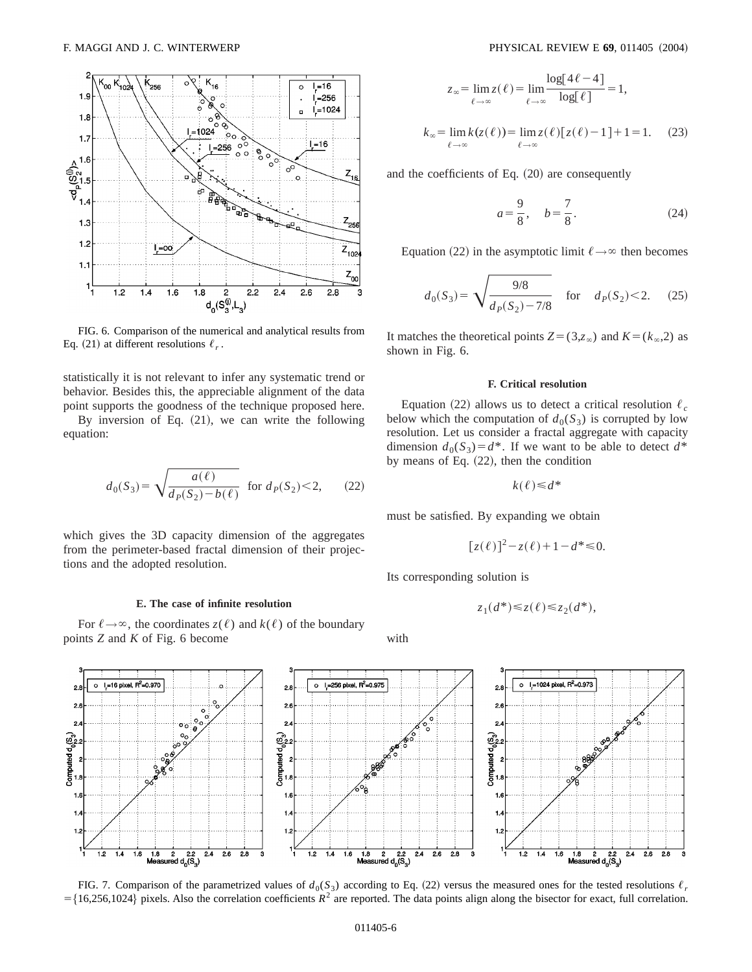

FIG. 6. Comparison of the numerical and analytical results from Eq. (21) at different resolutions  $\ell_r$ .

statistically it is not relevant to infer any systematic trend or behavior. Besides this, the appreciable alignment of the data point supports the goodness of the technique proposed here.

By inversion of Eq.  $(21)$ , we can write the following equation:

$$
d_0(S_3) = \sqrt{\frac{a(\ell)}{d_P(S_2) - b(\ell)}} \quad \text{for } d_P(S_2) < 2,\qquad(22)
$$

which gives the 3D capacity dimension of the aggregates from the perimeter-based fractal dimension of their projections and the adopted resolution.

### **E. The case of infinite resolution**

For  $\ell \rightarrow \infty$ , the coordinates  $z(\ell)$  and  $k(\ell)$  of the boundary points *Z* and *K* of Fig. 6 become

$$
z_{\infty} = \lim_{\ell \to \infty} z(\ell) = \lim_{\ell \to \infty} \frac{\log[4\ell - 4]}{\log[\ell]} = 1,
$$
  

$$
k_{\infty} = \lim_{\ell \to \infty} k(z(\ell)) = \lim_{\ell \to \infty} z(\ell) [z(\ell) - 1] + 1 = 1.
$$
 (23)

and the coefficients of Eq.  $(20)$  are consequently

$$
a = \frac{9}{8}, \quad b = \frac{7}{8}.
$$
 (24)

Equation (22) in the asymptotic limit  $\ell \rightarrow \infty$  then becomes

$$
d_0(S_3) = \sqrt{\frac{9/8}{d_P(S_2) - 7/8}} \quad \text{for} \quad d_P(S_2) < 2. \tag{25}
$$

It matches the theoretical points  $Z = (3, z_{\infty})$  and  $K = (k_{\infty}, 2)$  as shown in Fig. 6.

## **F. Critical resolution**

Equation (22) allows us to detect a critical resolution  $\ell_c$ below which the computation of  $d_0(S_3)$  is corrupted by low resolution. Let us consider a fractal aggregate with capacity dimension  $d_0(S_3) = d^*$ . If we want to be able to detect  $d^*$ by means of Eq.  $(22)$ , then the condition

$$
k(\ell) \le d^*
$$

must be satisfied. By expanding we obtain

$$
[z(\ell)]^2 - z(\ell) + 1 - d^* \le 0.
$$

Its corresponding solution is

$$
z_1(d^*) \le z(\ell) \le z_2(d^*),
$$

with



FIG. 7. Comparison of the parametrized values of  $d_0(S_3)$  according to Eq. (22) versus the measured ones for the tested resolutions  $\ell_r$  $=\{16,256,1024\}$  pixels. Also the correlation coefficients  $R^2$  are reported. The data points align along the bisector for exact, full correlation.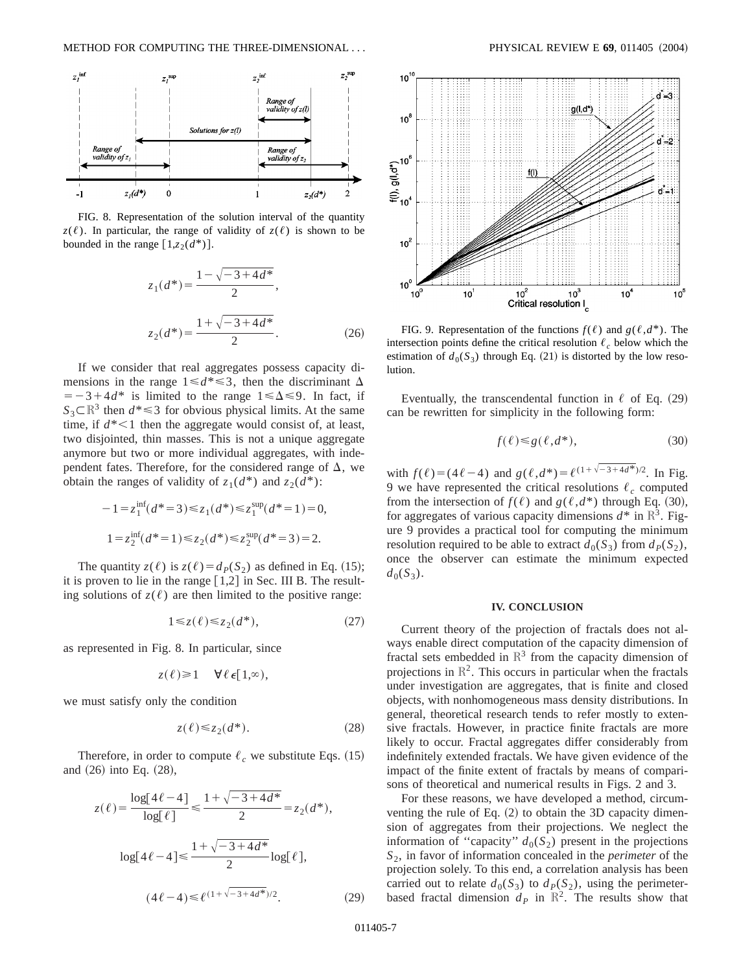

FIG. 8. Representation of the solution interval of the quantity  $z(\ell)$ . In particular, the range of validity of  $z(\ell)$  is shown to be bounded in the range  $\lceil 1, z_2(d^*) \rceil$ .

$$
z_1(d^*) = \frac{1 - \sqrt{-3 + 4d^*}}{2},
$$
  

$$
z_2(d^*) = \frac{1 + \sqrt{-3 + 4d^*}}{2}.
$$
 (26)

If we consider that real aggregates possess capacity dimensions in the range  $1 \le d^* \le 3$ , then the discriminant  $\Delta$  $=$  -3+4*d*\* is limited to the range 1  $\leq \Delta \leq 9$ . In fact, if  $S_3 \subset \mathbb{R}^3$  then  $d^* \leq 3$  for obvious physical limits. At the same time, if  $d^*$  < 1 then the aggregate would consist of, at least, two disjointed, thin masses. This is not a unique aggregate anymore but two or more individual aggregates, with independent fates. Therefore, for the considered range of  $\Delta$ , we obtain the ranges of validity of  $z_1(d^*)$  and  $z_2(d^*)$ :

$$
-1 = z_1^{\text{inf}}(d^* = 3) \le z_1(d^*) \le z_1^{\text{sup}}(d^* = 1) = 0,
$$
  

$$
1 = z_2^{\text{inf}}(d^* = 1) \le z_2(d^*) \le z_2^{\text{sup}}(d^* = 3) = 2.
$$

The quantity  $z(\ell)$  is  $z(\ell) = d_P(S_2)$  as defined in Eq. (15); it is proven to lie in the range  $[1,2]$  in Sec. III B. The resulting solutions of  $z(\ell)$  are then limited to the positive range:

$$
1 \leq z(\ell) \leq z_2(d^*),\tag{27}
$$

as represented in Fig. 8. In particular, since

$$
z(\ell) \geq 1 \quad \forall \ell \in [1,\infty),
$$

we must satisfy only the condition

$$
z(\ell) \le z_2(d^*). \tag{28}
$$

Therefore, in order to compute  $\ell_c$  we substitute Eqs. (15) and  $(26)$  into Eq.  $(28)$ ,

$$
z(\ell) = \frac{\log[4\ell - 4]}{\log[\ell]} \le \frac{1 + \sqrt{-3 + 4d^*}}{2} = z_2(d^*),
$$
  

$$
\log[4\ell - 4] \le \frac{1 + \sqrt{-3 + 4d^*}}{2} \log[\ell],
$$
  

$$
(4\ell - 4) \le \ell^{(1 + \sqrt{-3 + 4d^*})/2}.
$$
 (29)



FIG. 9. Representation of the functions  $f(\ell)$  and  $g(\ell, d^*)$ . The intersection points define the critical resolution  $\ell_c$  below which the estimation of  $d_0(S_3)$  through Eq. (21) is distorted by the low resolution.

Eventually, the transcendental function in  $\ell$  of Eq. (29) can be rewritten for simplicity in the following form:

$$
f(\ell) \le g(\ell, d^*),\tag{30}
$$

with  $f(\ell)=(4\ell-4)$  and  $g(\ell,d^*)=\ell^{(1+\sqrt{-3+4d^*})/2}$ . In Fig. 9 we have represented the critical resolutions  $\ell_c$  computed from the intersection of  $f(\ell)$  and  $g(\ell, d^*)$  through Eq. (30), for aggregates of various capacity dimensions  $d^*$  in  $\mathbb{R}^3$ . Figure 9 provides a practical tool for computing the minimum resolution required to be able to extract  $d_0(S_3)$  from  $d_P(S_2)$ , once the observer can estimate the minimum expected  $d_0(S_3)$ .

# **IV. CONCLUSION**

Current theory of the projection of fractals does not always enable direct computation of the capacity dimension of fractal sets embedded in  $\mathbb{R}^3$  from the capacity dimension of projections in  $\mathbb{R}^2$ . This occurs in particular when the fractals under investigation are aggregates, that is finite and closed objects, with nonhomogeneous mass density distributions. In general, theoretical research tends to refer mostly to extensive fractals. However, in practice finite fractals are more likely to occur. Fractal aggregates differ considerably from indefinitely extended fractals. We have given evidence of the impact of the finite extent of fractals by means of comparisons of theoretical and numerical results in Figs. 2 and 3.

For these reasons, we have developed a method, circumventing the rule of Eq.  $(2)$  to obtain the 3D capacity dimension of aggregates from their projections. We neglect the information of "capacity"  $d_0(S_2)$  present in the projections *S*2, in favor of information concealed in the *perimeter* of the projection solely. To this end, a correlation analysis has been carried out to relate  $d_0(S_3)$  to  $d_P(S_2)$ , using the perimeterbased fractal dimension  $d_p$  in  $\mathbb{R}^2$ . The results show that